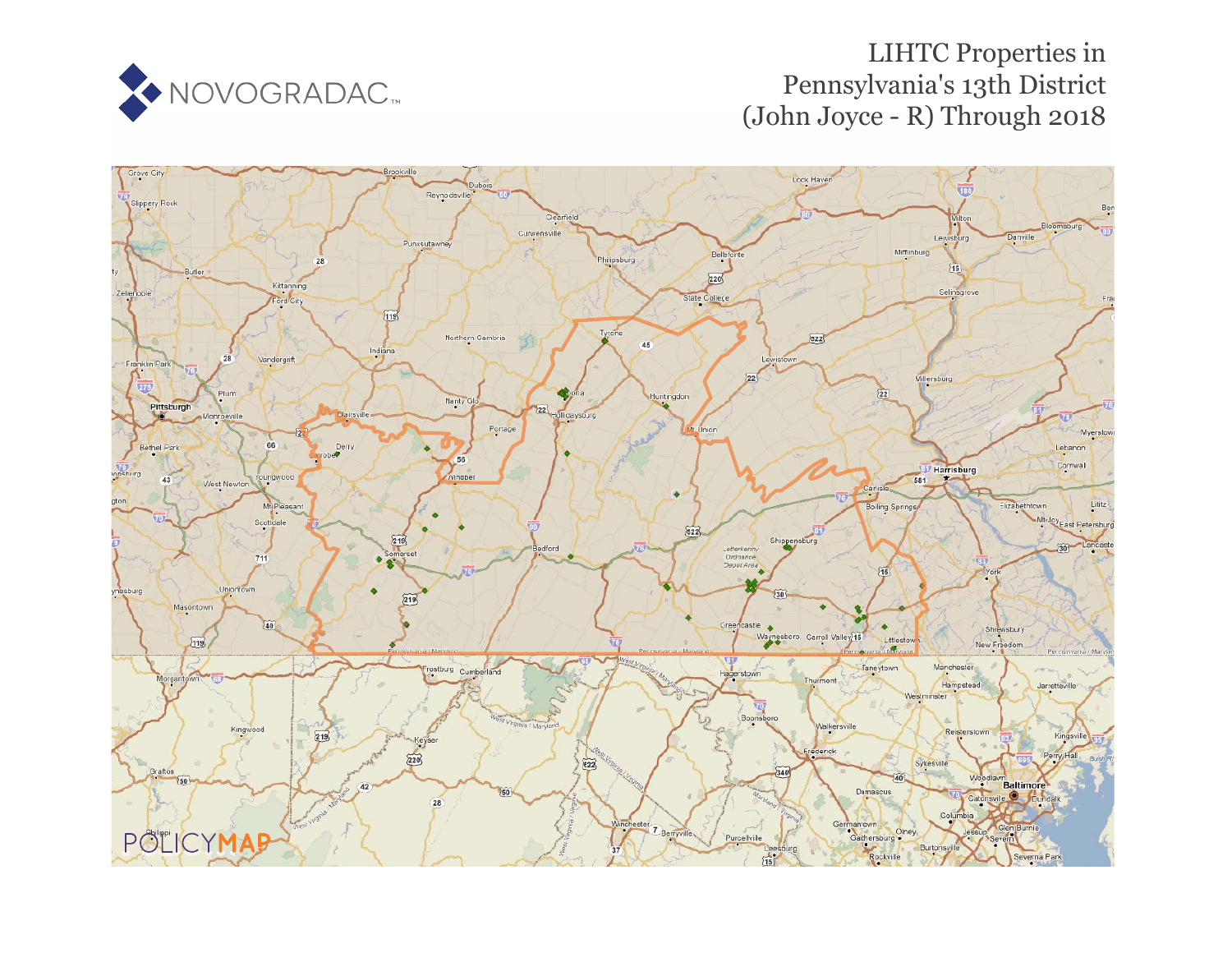

# LIHTC Properties in Pennsylvania's 13th District (John Joyce - R) Through 2018

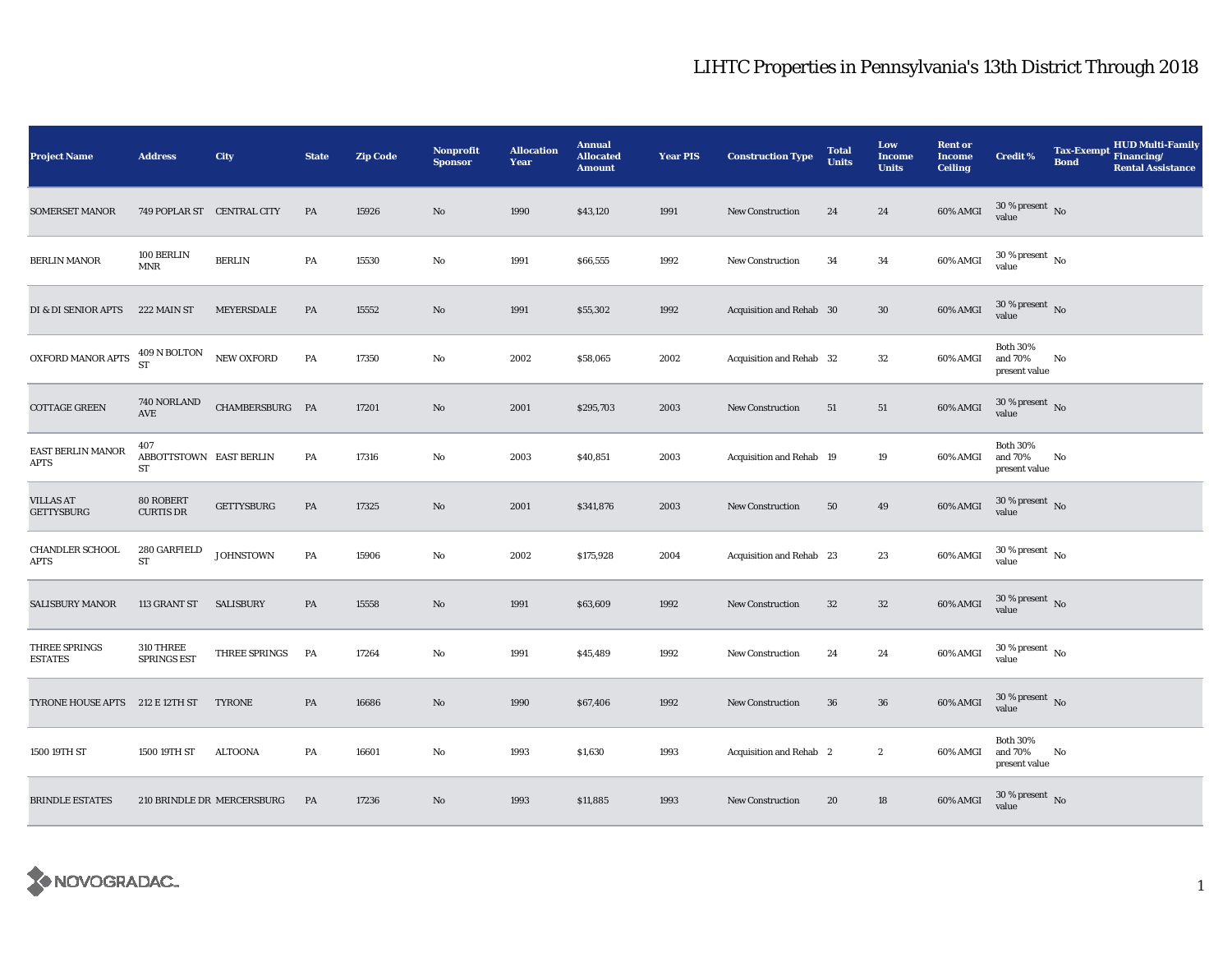| <b>Project Name</b>                   | <b>Address</b>                       | City                       | <b>State</b>  | <b>Zip Code</b> | <b>Nonprofit</b><br><b>Sponsor</b> | <b>Allocation</b><br>Year | <b>Annual</b><br><b>Allocated</b><br><b>Amount</b> | <b>Year PIS</b> | <b>Construction Type</b> | <b>Total</b><br><b>Units</b> | Low<br><b>Income</b><br><b>Units</b> | <b>Rent or</b><br><b>Income</b><br><b>Ceiling</b> | <b>Credit %</b>                             | Tax-Exempt Financing/<br><b>Bond</b> | <b>HUD Multi-Family</b><br><b>Rental Assistance</b> |
|---------------------------------------|--------------------------------------|----------------------------|---------------|-----------------|------------------------------------|---------------------------|----------------------------------------------------|-----------------|--------------------------|------------------------------|--------------------------------------|---------------------------------------------------|---------------------------------------------|--------------------------------------|-----------------------------------------------------|
| <b>SOMERSET MANOR</b>                 | 749 POPLAR ST CENTRAL CITY           |                            | PA            | 15926           | No                                 | 1990                      | \$43,120                                           | 1991            | <b>New Construction</b>  | 24                           | 24                                   | 60% AMGI                                          | $30$ % present $\,$ No value                |                                      |                                                     |
| <b>BERLIN MANOR</b>                   | 100 BERLIN<br><b>MNR</b>             | <b>BERLIN</b>              | PA            | 15530           | No                                 | 1991                      | \$66,555                                           | 1992            | <b>New Construction</b>  | 34                           | 34                                   | 60% AMGI                                          | $30\,\%$ present $_{\, \rm No}$<br>value    |                                      |                                                     |
| DI & DI SENIOR APTS                   | 222 MAIN ST                          | MEYERSDALE                 | ${\bf PA}$    | 15552           | No                                 | 1991                      | \$55,302                                           | 1992            | Acquisition and Rehab 30 |                              | $30\,$                               | 60% AMGI                                          | $30$ % present $\,$ No value                |                                      |                                                     |
| OXFORD MANOR APTS                     | $409$ N BOLTON<br><b>ST</b>          | NEW OXFORD                 | PA            | 17350           | No                                 | 2002                      | \$58,065                                           | 2002            | Acquisition and Rehab 32 |                              | $32\,$                               | 60% AMGI                                          | <b>Both 30%</b><br>and 70%<br>present value | No                                   |                                                     |
| <b>COTTAGE GREEN</b>                  | 740 NORLAND<br>AVE                   | CHAMBERSBURG PA            |               | 17201           | $\mathbf{N}\mathbf{o}$             | 2001                      | \$295,703                                          | 2003            | New Construction         | 51                           | 51                                   | 60% AMGI                                          | $30$ % present $\,$ No $\,$<br>value        |                                      |                                                     |
| EAST BERLIN MANOR<br>APTS             | 407<br>ABBOTTSTOWN EAST BERLIN<br>ST |                            | PA            | 17316           | No                                 | 2003                      | \$40,851                                           | 2003            | Acquisition and Rehab 19 |                              | 19                                   | 60% AMGI                                          | <b>Both 30%</b><br>and 70%<br>present value | No                                   |                                                     |
| <b>VILLAS AT</b><br><b>GETTYSBURG</b> | 80 ROBERT<br><b>CURTIS DR</b>        | <b>GETTYSBURG</b>          | $\mathbf{PA}$ | 17325           | No                                 | 2001                      | \$341,876                                          | 2003            | <b>New Construction</b>  | 50                           | 49                                   | 60% AMGI                                          | $30\,\%$ present $\,$ No value              |                                      |                                                     |
| <b>CHANDLER SCHOOL</b><br>APTS        | 280 GARFIELD<br>${\rm ST}$           | <b>JOHNSTOWN</b>           | PA            | 15906           | $\rm No$                           | 2002                      | \$175,928                                          | 2004            | Acquisition and Rehab 23 |                              | 23                                   | 60% AMGI                                          | $30\,\%$ present $\,$ No value              |                                      |                                                     |
| <b>SALISBURY MANOR</b>                | 113 GRANT ST SALISBURY               |                            | PA            | 15558           | No                                 | 1991                      | \$63,609                                           | 1992            | <b>New Construction</b>  | 32                           | $32\,$                               | 60% AMGI                                          | $30\,\%$ present $\,$ No value              |                                      |                                                     |
| THREE SPRINGS<br>ESTATES              | 310 THREE<br><b>SPRINGS EST</b>      | THREE SPRINGS              | PA            | 17264           | No                                 | 1991                      | \$45,489                                           | 1992            | New Construction         | 24                           | 24                                   | 60% AMGI                                          | $30\,\%$ present $\,$ No $\,$<br>value      |                                      |                                                     |
| <b>TYRONE HOUSE APTS</b>              | 212 E 12TH ST                        | <b>TYRONE</b>              | PA            | 16686           | No                                 | 1990                      | \$67,406                                           | 1992            | <b>New Construction</b>  | 36                           | 36                                   | 60% AMGI                                          | $30$ % present $\,$ No $\,$<br>value        |                                      |                                                     |
| 1500 19TH ST                          | 1500 19TH ST                         | <b>ALTOONA</b>             | PA            | 16601           | No                                 | 1993                      | \$1,630                                            | 1993            | Acquisition and Rehab 2  |                              | $\boldsymbol{2}$                     | 60% AMGI                                          | <b>Both 30%</b><br>and 70%<br>present value | No                                   |                                                     |
| <b>BRINDLE ESTATES</b>                |                                      | 210 BRINDLE DR MERCERSBURG | PA            | 17236           | No                                 | 1993                      | \$11,885                                           | 1993            | <b>New Construction</b>  | 20                           | 18                                   | 60% AMGI                                          | $30\,\%$ present $\,$ No value              |                                      |                                                     |

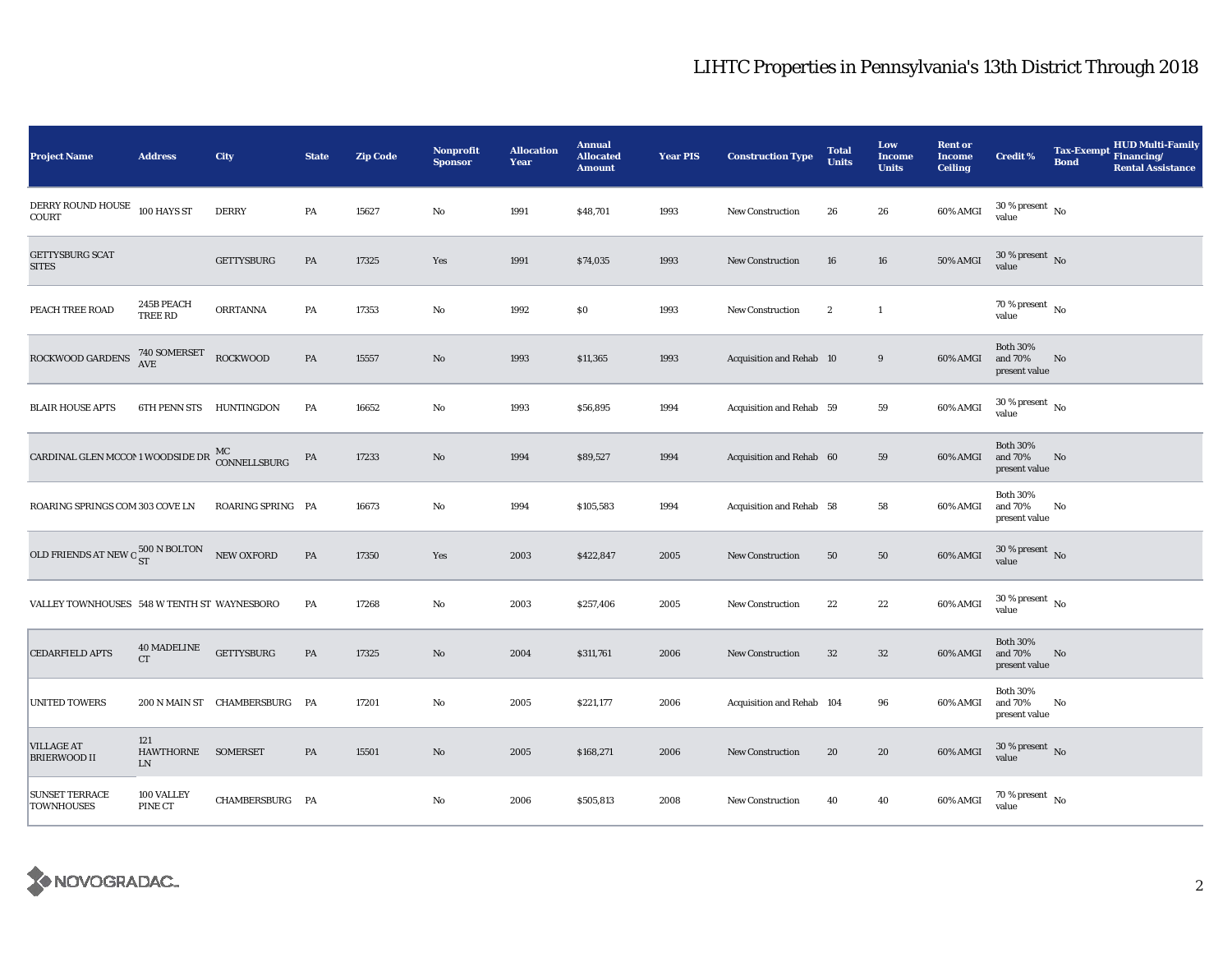| <b>Project Name</b>                                                | <b>Address</b>                          | City                          | <b>State</b>  | <b>Zip Code</b> | Nonprofit<br><b>Sponsor</b> | <b>Allocation</b><br>Year | <b>Annual</b><br><b>Allocated</b><br><b>Amount</b> | <b>Year PIS</b> | <b>Construction Type</b>  | <b>Total</b><br><b>Units</b> | Low<br><b>Income</b><br><b>Units</b> | <b>Rent or</b><br><b>Income</b><br><b>Ceiling</b> | <b>Credit %</b>                             | <b>HUD Multi-Family</b><br>Tax-Exempt Financing/<br><b>Bond</b><br><b>Rental Assistance</b> |
|--------------------------------------------------------------------|-----------------------------------------|-------------------------------|---------------|-----------------|-----------------------------|---------------------------|----------------------------------------------------|-----------------|---------------------------|------------------------------|--------------------------------------|---------------------------------------------------|---------------------------------------------|---------------------------------------------------------------------------------------------|
| DERRY ROUND HOUSE<br>COURT                                         | 100 HAYS ST                             | <b>DERRY</b>                  | $\mathbf{PA}$ | 15627           | No                          | 1991                      | \$48,701                                           | 1993            | <b>New Construction</b>   | 26                           | 26                                   | 60% AMGI                                          | $30\,\%$ present $\,$ No value              |                                                                                             |
| <b>GETTYSBURG SCAT</b><br><b>SITES</b>                             |                                         | GETTYSBURG                    | PA            | 17325           | Yes                         | 1991                      | \$74,035                                           | 1993            | <b>New Construction</b>   | 16                           | 16                                   | <b>50% AMGI</b>                                   | $30$ % present $\,$ No $\,$<br>value        |                                                                                             |
| PEACH TREE ROAD                                                    | 245B PEACH<br>TREE RD                   | <b>ORRTANNA</b>               | PA            | 17353           | No                          | 1992                      | \$0                                                | 1993            | <b>New Construction</b>   | $\boldsymbol{2}$             | $\mathbf{1}$                         |                                                   | 70 % present $\hbox{~No}$<br>value          |                                                                                             |
| ROCKWOOD GARDENS                                                   | 740 SOMERSET<br>AVE                     | <b>ROCKWOOD</b>               | PA            | 15557           | $\mathbf{N}\mathbf{o}$      | 1993                      | \$11,365                                           | 1993            | Acquisition and Rehab 10  |                              | $\boldsymbol{9}$                     | 60% AMGI                                          | <b>Both 30%</b><br>and 70%<br>present value | No                                                                                          |
| <b>BLAIR HOUSE APTS</b>                                            | 6TH PENN STS HUNTINGDON                 |                               | PA            | 16652           | No                          | 1993                      | \$56,895                                           | 1994            | Acquisition and Rehab 59  |                              | 59                                   | 60% AMGI                                          | $30$ % present $\,$ No $\,$<br>value        |                                                                                             |
| CARDINAL GLEN MCCON 1 WOODSIDE DR $_{\rm CONNELLSBURG}^{\rm MC}$   |                                         |                               | PA            | 17233           | $\mathbf{No}$               | 1994                      | \$89,527                                           | 1994            | Acquisition and Rehab 60  |                              | 59                                   | 60% AMGI                                          | <b>Both 30%</b><br>and 70%<br>present value | No                                                                                          |
| ROARING SPRINGS COM 303 COVE LN                                    |                                         | ROARING SPRING PA             |               | 16673           | No                          | 1994                      | \$105,583                                          | 1994            | Acquisition and Rehab 58  |                              | 58                                   | 60% AMGI                                          | <b>Both 30%</b><br>and 70%<br>present value | No                                                                                          |
| OLD FRIENDS AT NEW O $_{\rm ST}^{500\ {\rm N\,BOLTON}}$ NEW OXFORD |                                         |                               | $\mathbf{PA}$ | 17350           | Yes                         | 2003                      | \$422,847                                          | 2005            | <b>New Construction</b>   | 50                           | ${\bf 50}$                           | 60% AMGI                                          | $30\,\%$ present $\,$ No value              |                                                                                             |
| VALLEY TOWNHOUSES 548 W TENTH ST WAYNESBORO                        |                                         |                               | PA            | 17268           | $\mathbf{No}$               | 2003                      | \$257,406                                          | 2005            | New Construction          | 22                           | 22                                   | 60% AMGI                                          | $30\,\%$ present $\,$ No $\,$<br>value      |                                                                                             |
| <b>CEDARFIELD APTS</b>                                             | <b>40 MADELINE</b><br>CT                | <b>GETTYSBURG</b>             | PA            | 17325           | $\mathbf{N}\mathbf{o}$      | 2004                      | \$311,761                                          | 2006            | New Construction          | 32                           | $32\phantom{.0}$                     | 60% AMGI                                          | <b>Both 30%</b><br>and 70%<br>present value | No                                                                                          |
| <b>UNITED TOWERS</b>                                               |                                         | 200 N MAIN ST CHAMBERSBURG PA |               | 17201           | No                          | 2005                      | \$221,177                                          | 2006            | Acquisition and Rehab 104 |                              | 96                                   | 60% AMGI                                          | <b>Both 30%</b><br>and 70%<br>present value | No                                                                                          |
| <b>VILLAGE AT</b><br><b>BRIERWOOD II</b>                           | 121<br>HAWTHORNE SOMERSET<br>${\rm LN}$ |                               | PA            | 15501           | $\mathbf{N}\mathbf{o}$      | 2005                      | \$168,271                                          | 2006            | New Construction          | 20                           | 20                                   | 60% AMGI                                          | $30\,\%$ present $\,$ No value              |                                                                                             |
| <b>SUNSET TERRACE</b><br><b>TOWNHOUSES</b>                         | 100 VALLEY<br>PINE CT                   | CHAMBERSBURG PA               |               |                 | No                          | 2006                      | \$505,813                                          | 2008            | New Construction          | 40                           | 40                                   | 60% AMGI                                          | $70\,\%$ present $\,$ No $\,$<br>value      |                                                                                             |

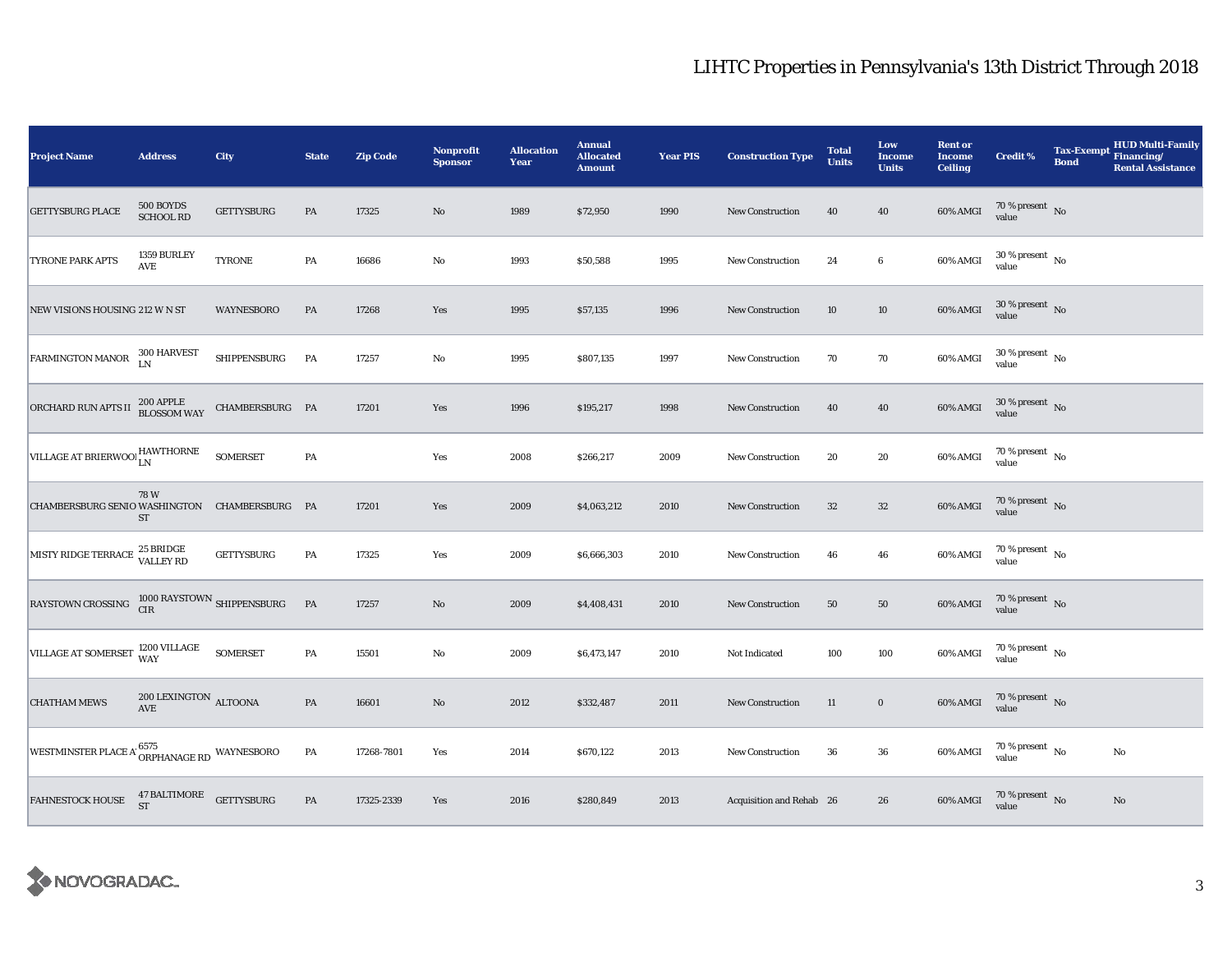| <b>Project Name</b>                                                                                               | <b>Address</b>                     | <b>City</b>       | <b>State</b>  | <b>Zip Code</b> | Nonprofit<br><b>Sponsor</b> | <b>Allocation</b><br>Year | <b>Annual</b><br><b>Allocated</b><br><b>Amount</b> | <b>Year PIS</b> | <b>Construction Type</b> | <b>Total</b><br><b>Units</b> | Low<br><b>Income</b><br><b>Units</b> | <b>Rent or</b><br><b>Income</b><br><b>Ceiling</b> | Credit %                               | <b>Tax-Exempt</b><br><b>Bond</b> | <b>HUD Multi-Family</b><br>Financing/<br><b>Rental Assistance</b> |
|-------------------------------------------------------------------------------------------------------------------|------------------------------------|-------------------|---------------|-----------------|-----------------------------|---------------------------|----------------------------------------------------|-----------------|--------------------------|------------------------------|--------------------------------------|---------------------------------------------------|----------------------------------------|----------------------------------|-------------------------------------------------------------------|
| <b>GETTYSBURG PLACE</b>                                                                                           | 500 BOYDS<br><b>SCHOOL RD</b>      | <b>GETTYSBURG</b> | PA            | 17325           | No                          | 1989                      | \$72,950                                           | 1990            | New Construction         | 40                           | 40                                   | 60% AMGI                                          | $70\,\%$ present $\,$ No value         |                                  |                                                                   |
| TYRONE PARK APTS                                                                                                  | 1359 BURLEY<br>AVE                 | <b>TYRONE</b>     | PA            | 16686           | No                          | 1993                      | \$50,588                                           | 1995            | <b>New Construction</b>  | 24                           | $\boldsymbol{6}$                     | 60% AMGI                                          | $30\,\%$ present $\,$ No value         |                                  |                                                                   |
| NEW VISIONS HOUSING 212 W N ST                                                                                    |                                    | <b>WAYNESBORO</b> | $\mathbf{PA}$ | 17268           | Yes                         | 1995                      | \$57,135                                           | 1996            | <b>New Construction</b>  | 10                           | $10\,$                               | 60% AMGI                                          | $30\,\%$ present $\,$ No value         |                                  |                                                                   |
| <b>FARMINGTON MANOR</b>                                                                                           | 300 HARVEST<br>LN                  | SHIPPENSBURG      | PA            | 17257           | No                          | 1995                      | \$807,135                                          | 1997            | <b>New Construction</b>  | 70                           | 70                                   | 60% AMGI                                          | $30\,\%$ present $\,$ No value         |                                  |                                                                   |
| ORCHARD RUN APTS II                                                                                               | 200 APPLE<br>BLOSSOM WAY           | CHAMBERSBURG PA   |               | 17201           | Yes                         | 1996                      | \$195,217                                          | 1998            | <b>New Construction</b>  | 40                           | 40                                   | 60% AMGI                                          | $30\,\%$ present $\,$ No value         |                                  |                                                                   |
| VILLAGE AT BRIERWOOLHAWTHORNE                                                                                     |                                    | SOMERSET          | PA            |                 | Yes                         | 2008                      | \$266,217                                          | 2009            | New Construction         | 20                           | 20                                   | 60% AMGI                                          | $70\,\%$ present $\,$ No value         |                                  |                                                                   |
| CHAMBERSBURG SENIO WASHINGTON CHAMBERSBURG PA                                                                     | 78 W<br>ST                         |                   |               | 17201           | Yes                         | 2009                      | \$4,063,212                                        | 2010            | <b>New Construction</b>  | $32\,$                       | $32\,$                               | $60\%$ AMGI                                       | $70\,\%$ present $\,$ No value         |                                  |                                                                   |
| MISTY RIDGE TERRACE 25 BRIDGE                                                                                     |                                    | <b>GETTYSBURG</b> | PA            | 17325           | Yes                         | 2009                      | \$6,666,303                                        | 2010            | New Construction         | 46                           | 46                                   | 60% AMGI                                          | $70\,\%$ present $\,$ No $\,$<br>value |                                  |                                                                   |
| RAYSTOWN CROSSING $\begin{array}{cc} 1000 \, \text{RAYSTOWN} & \text{SHIPPENSBURG} \\ \text{CIR} & & \end{array}$ |                                    |                   | $\mathbf{PA}$ | 17257           | No                          | 2009                      | \$4,408,431                                        | 2010            | New Construction         | 50                           | 50                                   | 60% AMGI                                          | $70\,\%$ present $\,$ No value         |                                  |                                                                   |
| VILLAGE AT SOMERSET 1200 VILLAGE                                                                                  |                                    | <b>SOMERSET</b>   | PA            | 15501           | No                          | 2009                      | \$6,473,147                                        | 2010            | Not Indicated            | 100                          | 100                                  | 60% AMGI                                          | $70\,\%$ present $\,$ No value         |                                  |                                                                   |
| <b>CHATHAM MEWS</b>                                                                                               | $200\,{\rm LEXINGTON}$ ALTOONA AVE |                   | PA            | 16601           | $\mathbf{No}$               | 2012                      | \$332,487                                          | 2011            | New Construction         | 11                           | $\boldsymbol{0}$                     | 60% AMGI                                          | $70\,\%$ present $\,$ No value         |                                  |                                                                   |
| WESTMINSTER PLACE A $^{6575}_{\textnormal{ORPHANAGE RD}}$ WAYNESBORO                                              |                                    |                   | $\mathbf{PA}$ | 17268-7801      | Yes                         | 2014                      | \$670,122                                          | 2013            | <b>New Construction</b>  | 36                           | ${\bf 36}$                           | 60% AMGI                                          | $70\,\%$ present $\,$ No value         |                                  | No                                                                |
| <b>FAHNESTOCK HOUSE</b>                                                                                           | $47$ BALTIMORE $$\sf{GETTYSBURG}$$ |                   | $\mathbf{PA}$ | 17325-2339      | Yes                         | 2016                      | \$280,849                                          | 2013            | Acquisition and Rehab 26 |                              | 26                                   | 60% AMGI                                          | $70\,\%$ present $\,$ No value         |                                  | $\mathbf{No}$                                                     |

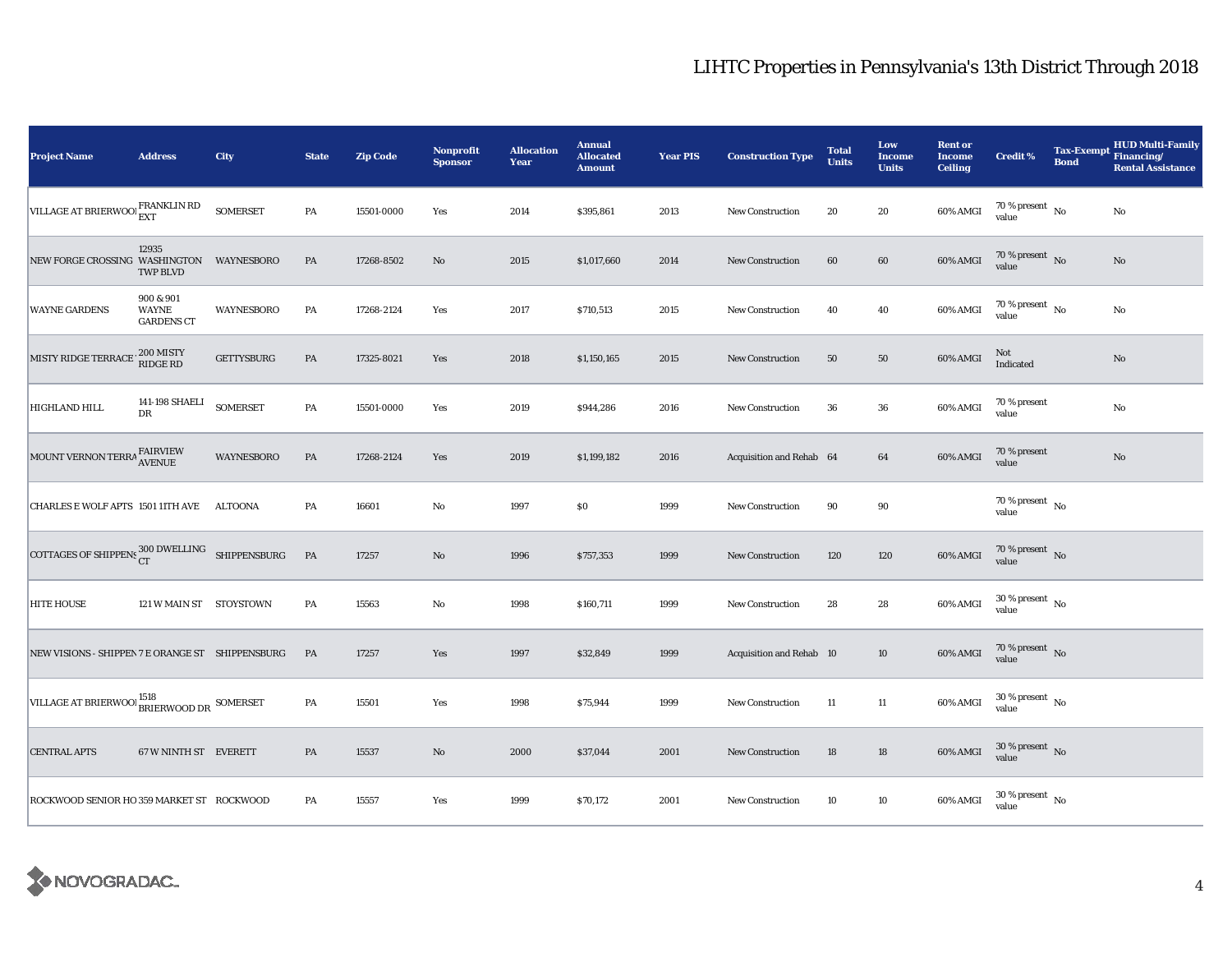| <b>Project Name</b>                                               | <b>Address</b>                                 | <b>City</b>     | <b>State</b> | <b>Zip Code</b> | <b>Nonprofit</b><br><b>Sponsor</b> | <b>Allocation</b><br><b>Year</b> | <b>Annual</b><br><b>Allocated</b><br><b>Amount</b> | <b>Year PIS</b> | <b>Construction Type</b> | <b>Total</b><br><b>Units</b> | Low<br><b>Income</b><br><b>Units</b> | <b>Rent or</b><br><b>Income</b><br><b>Ceiling</b> | <b>Credit %</b>                        | <b>Tax-Exempt</b><br><b>Bond</b> | <b>HUD Multi-Family</b><br>Financing/<br><b>Rental Assistance</b> |
|-------------------------------------------------------------------|------------------------------------------------|-----------------|--------------|-----------------|------------------------------------|----------------------------------|----------------------------------------------------|-----------------|--------------------------|------------------------------|--------------------------------------|---------------------------------------------------|----------------------------------------|----------------------------------|-------------------------------------------------------------------|
| VILLAGE AT BRIERWOO! FRANKLIN RD                                  |                                                | <b>SOMERSET</b> | PA           | 15501-0000      | Yes                                | 2014                             | \$395,861                                          | 2013            | <b>New Construction</b>  | 20                           | 20                                   | 60% AMGI                                          | $70\,\%$ present $\,$ No value         |                                  | $\rm No$                                                          |
| NEW FORGE CROSSING WASHINGTON WAYNESBORO                          | 12935<br><b>TWP BLVD</b>                       |                 | PA           | 17268-8502      | No                                 | 2015                             | \$1,017,660                                        | 2014            | <b>New Construction</b>  | 60                           | 60                                   | 60% AMGI                                          | $70$ % present $\,$ No $\,$<br>value   |                                  | No                                                                |
| <b>WAYNE GARDENS</b>                                              | 900 & 901<br><b>WAYNE</b><br><b>GARDENS CT</b> | WAYNESBORO      | PA           | 17268-2124      | Yes                                | 2017                             | \$710,513                                          | 2015            | New Construction         | 40                           | 40                                   | 60% AMGI                                          | $70\,\%$ present $\,$ No value         |                                  | $\rm No$                                                          |
| MISTY RIDGE TERRACE 200 MISTY                                     |                                                | GETTYSBURG      | PA           | 17325-8021      | Yes                                | 2018                             | \$1,150,165                                        | 2015            | New Construction         | 50                           | 50                                   | 60% AMGI                                          | Not<br>Indicated                       |                                  | $\rm No$                                                          |
| HIGHLAND HILL                                                     | 141-198 SHAELI<br>DR                           | <b>SOMERSET</b> | PA           | 15501-0000      | Yes                                | 2019                             | \$944,286                                          | 2016            | <b>New Construction</b>  | 36                           | 36                                   | 60% AMGI                                          | 70 % present<br>value                  |                                  | $\rm No$                                                          |
| MOUNT VERNON TERRA FAIRVIEW AVENUE                                |                                                | WAYNESBORO      | PA           | 17268-2124      | Yes                                | 2019                             | \$1,199,182                                        | 2016            | Acquisition and Rehab 64 |                              | 64                                   | 60% AMGI                                          | 70 % present<br>value                  |                                  | $\rm No$                                                          |
| CHARLES E WOLF APTS 1501 11TH AVE                                 |                                                | ALTOONA         | PA           | 16601           | No                                 | 1997                             | \$0                                                | 1999            | <b>New Construction</b>  | 90                           | $90\,$                               |                                                   | $70$ % present $\,$ No $\,$<br>value   |                                  |                                                                   |
| COTTAGES OF SHIPPENS $_{\rm CT}^{300\,\rm DWELLING}$ SHIPPENSBURG |                                                |                 | PA           | 17257           | $\rm No$                           | 1996                             | \$757,353                                          | 1999            | <b>New Construction</b>  | 120                          | 120                                  | 60% AMGI                                          | $70\,\%$ present $\,$ No value         |                                  |                                                                   |
| <b>HITE HOUSE</b>                                                 | 121 W MAIN ST STOYSTOWN                        |                 | PA           | 15563           | No                                 | 1998                             | \$160,711                                          | 1999            | <b>New Construction</b>  | 28                           | 28                                   | 60% AMGI                                          | $30$ % present $\,$ No $\,$<br>value   |                                  |                                                                   |
| NEW VISIONS - SHIPPEN 7 E ORANGE ST SHIPPENSBURG                  |                                                |                 | PA           | 17257           | Yes                                | 1997                             | \$32,849                                           | 1999            | Acquisition and Rehab 10 |                              | 10                                   | 60% AMGI                                          | $70\,\%$ present $\,$ No value         |                                  |                                                                   |
| VILLAGE AT BRIERWOOL BRIERWOOD DR SOMERSET                        |                                                |                 | PA           | 15501           | Yes                                | 1998                             | \$75,944                                           | 1999            | <b>New Construction</b>  | 11                           | $11\,$                               | 60% AMGI                                          | $30$ % present $\,$ No $\,$<br>value   |                                  |                                                                   |
| <b>CENTRAL APTS</b>                                               | 67 W NINTH ST EVERETT                          |                 | PA           | 15537           | $\mathbf{No}$                      | 2000                             | \$37,044                                           | 2001            | New Construction         | 18                           | 18                                   | 60% AMGI                                          | $30\,\%$ present $\,$ No value         |                                  |                                                                   |
| ROCKWOOD SENIOR HO 359 MARKET ST ROCKWOOD                         |                                                |                 | PA           | 15557           | Yes                                | 1999                             | \$70,172                                           | 2001            | New Construction         | 10                           | 10                                   | 60% AMGI                                          | $30\,\%$ present $\,$ No $\,$<br>value |                                  |                                                                   |

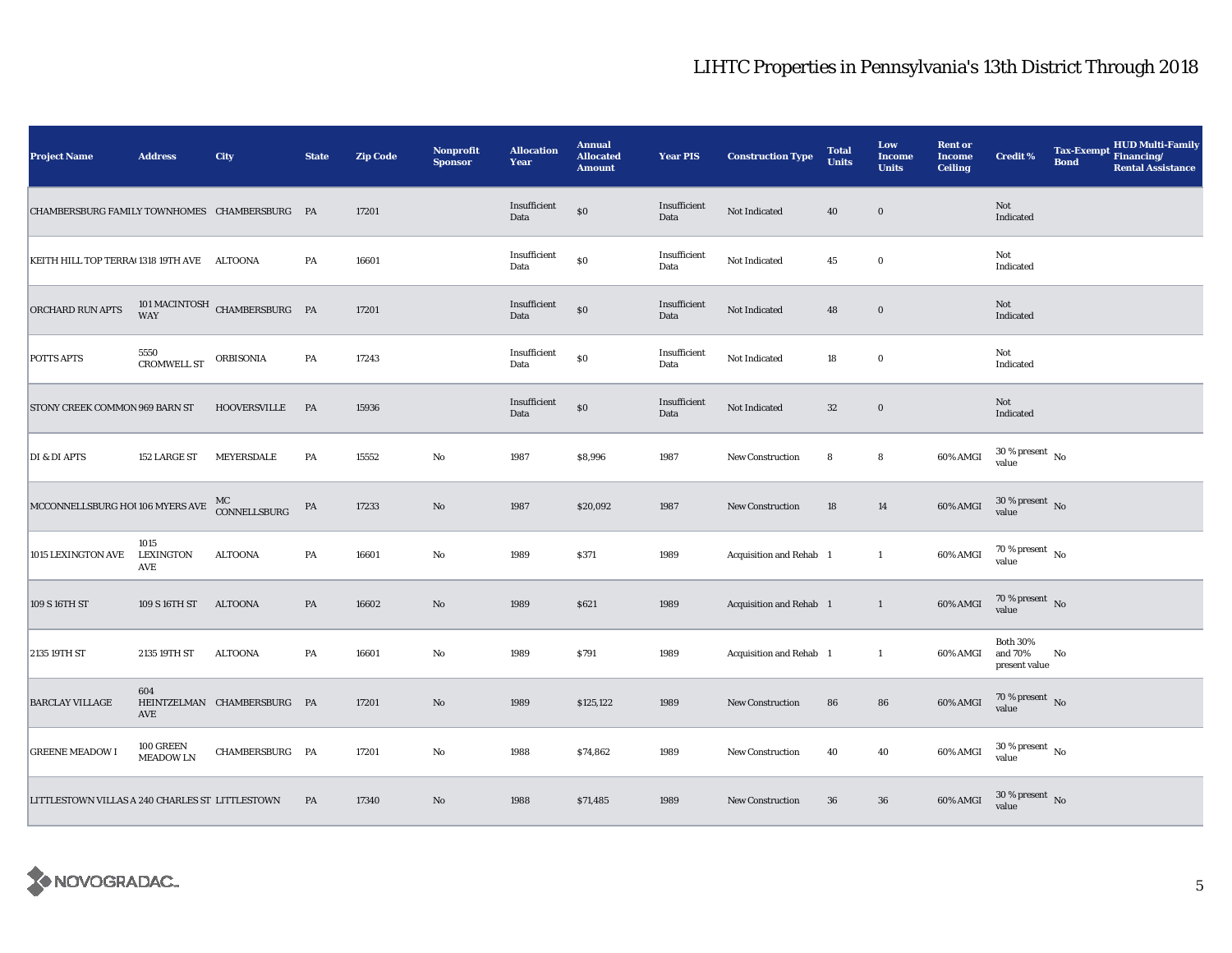| <b>Project Name</b>                             | <b>Address</b>                  | City                                          | <b>State</b>  | <b>Zip Code</b> | <b>Nonprofit</b><br><b>Sponsor</b> | <b>Allocation</b><br>Year | <b>Annual</b><br><b>Allocated</b><br><b>Amount</b> | <b>Year PIS</b>      | <b>Construction Type</b> | <b>Total</b><br><b>Units</b> | Low<br><b>Income</b><br><b>Units</b> | <b>Rent or</b><br><b>Income</b><br><b>Ceiling</b> | <b>Credit %</b>                             | <b>Bond</b> | <b>HUD Multi-Family</b><br>Tax-Exempt Financing/<br><b>Rental Assistance</b> |
|-------------------------------------------------|---------------------------------|-----------------------------------------------|---------------|-----------------|------------------------------------|---------------------------|----------------------------------------------------|----------------------|--------------------------|------------------------------|--------------------------------------|---------------------------------------------------|---------------------------------------------|-------------|------------------------------------------------------------------------------|
| CHAMBERSBURG FAMILY TOWNHOMES CHAMBERSBURG PA   |                                 |                                               |               | 17201           |                                    | Insufficient<br>Data      | $\$0$                                              | Insufficient<br>Data | Not Indicated            | 40                           | $\bf{0}$                             |                                                   | Not<br>Indicated                            |             |                                                                              |
| KEITH HILL TOP TERRA(1318 19TH AVE ALTOONA      |                                 |                                               | PA            | 16601           |                                    | Insufficient<br>Data      | \$0                                                | Insufficient<br>Data | Not Indicated            | 45                           | $\bf{0}$                             |                                                   | Not<br>Indicated                            |             |                                                                              |
| ORCHARD RUN APTS                                |                                 | $101\,\mathrm{MACINTOSH}$ CHAMBERSBURG PA WAY |               | 17201           |                                    | Insufficient<br>Data      | $\$0$                                              | Insufficient<br>Data | Not Indicated            | 48                           | $\bf{0}$                             |                                                   | Not<br>Indicated                            |             |                                                                              |
| <b>POTTS APTS</b>                               | 5550<br>CROMWELL ST             | ORBISONIA                                     | $\mathbf{PA}$ | 17243           |                                    | Insufficient<br>Data      | \$0                                                | Insufficient<br>Data | Not Indicated            | 18                           | $\bf{0}$                             |                                                   | Not<br>Indicated                            |             |                                                                              |
| STONY CREEK COMMON 969 BARN ST                  |                                 | <b>HOOVERSVILLE</b>                           | <b>PA</b>     | 15936           |                                    | Insufficient<br>Data      | \$0                                                | Insufficient<br>Data | Not Indicated            | $32\,$                       | $\bf{0}$                             |                                                   | Not<br>Indicated                            |             |                                                                              |
| DI & DI APTS                                    | 152 LARGE ST                    | MEYERSDALE                                    | PA            | 15552           | $\rm No$                           | 1987                      | \$8,996                                            | 1987                 | New Construction         | 8                            | 8                                    | 60% AMGI                                          | $30\,\%$ present $\,$ No value              |             |                                                                              |
| MCCONNELLSBURG HOI 106 MYERS AVE CONNELLSBURG   |                                 |                                               | ${\bf PA}$    | 17233           | $\mathbf{No}$                      | 1987                      | \$20,092                                           | 1987                 | New Construction         | 18                           | 14                                   | 60% AMGI                                          | $30\,\%$ present $\,$ No value              |             |                                                                              |
| 1015 LEXINGTON AVE                              | 1015<br><b>LEXINGTON</b><br>AVE | <b>ALTOONA</b>                                | PA            | 16601           | $\rm No$                           | 1989                      | \$371                                              | 1989                 | Acquisition and Rehab 1  |                              | $\mathbf{1}$                         | 60% AMGI                                          | $70\,\%$ present $\,$ No value              |             |                                                                              |
| 109 S 16TH ST                                   | 109 S 16TH ST                   | <b>ALTOONA</b>                                | PA            | 16602           | $\mathbf{No}$                      | 1989                      | \$621                                              | 1989                 | Acquisition and Rehab 1  |                              | $\mathbf{1}$                         | 60% AMGI                                          | $70\,\%$ present $\,$ No value              |             |                                                                              |
| 2135 19TH ST                                    | 2135 19TH ST                    | ALTOONA                                       | PA            | 16601           | $\rm No$                           | 1989                      | \$791                                              | 1989                 | Acquisition and Rehab 1  |                              | $\mathbf{1}$                         | 60% AMGI                                          | <b>Both 30%</b><br>and 70%<br>present value | No          |                                                                              |
| <b>BARCLAY VILLAGE</b>                          | 604<br>AVE                      | HEINTZELMAN CHAMBERSBURG PA                   |               | 17201           | No                                 | 1989                      | \$125,122                                          | 1989                 | <b>New Construction</b>  | 86                           | ${\bf 86}$                           | 60% AMGI                                          | $70\,\%$ present $\,$ No value              |             |                                                                              |
| <b>GREENE MEADOW I</b>                          | 100 GREEN<br><b>MEADOW LN</b>   | CHAMBERSBURG PA                               |               | 17201           | $\mathbf{No}$                      | 1988                      | \$74,862                                           | 1989                 | New Construction         | 40                           | 40                                   | 60% AMGI                                          | $30\,\%$ present $\,$ No value              |             |                                                                              |
| LITTLESTOWN VILLAS A 240 CHARLES ST LITTLESTOWN |                                 |                                               | PA            | 17340           | $\rm No$                           | 1988                      | \$71,485                                           | 1989                 | <b>New Construction</b>  | 36                           | $36\,$                               | 60% AMGI                                          | $30\,\%$ present $\,$ No value              |             |                                                                              |